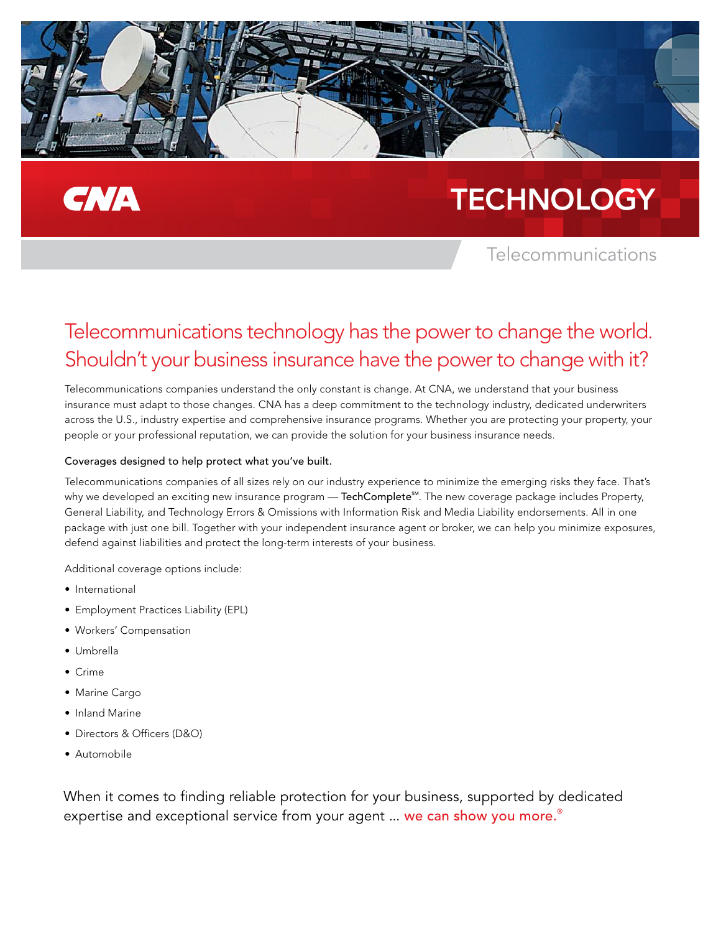

## **CNA**

# **TECHNOLOGY**

### Telecommunications

### Telecommunications technology has the power to change the world. Shouldn't your business insurance have the power to change with it?

Telecommunications companies understand the only constant is change. At CNA, we understand that your business insurance must adapt to those changes. CNA has a deep commitment to the technology industry, dedicated underwriters across the U.S., industry expertise and comprehensive insurance programs. Whether you are protecting your property, your people or your professional reputation, we can provide the solution for your business insurance needs.

#### Coverages designed to help protect what you've built.

Telecommunications companies of all sizes rely on our industry experience to minimize the emerging risks they face. That's why we developed an exciting new insurance program — TechComplete<sup>sM</sup>. The new coverage package includes Property, General Liability, and Technology Errors & Omissions with Information Risk and Media Liability endorsements. All in one package with just one bill. Together with your independent insurance agent or broker, we can help you minimize exposures, defend against liabilities and protect the long-term interests of your business.

Additional coverage options include:

- International
- Employment Practices Liability (EPL)
- Workers' Compensation
- Umbrella
- Crime
- Marine Cargo
- Inland Marine
- Directors & Officers (D&O)
- Automobile

When it comes to finding reliable protection for your business, supported by dedicated expertise and exceptional service from your agent ... we can show you more.<sup>®</sup>